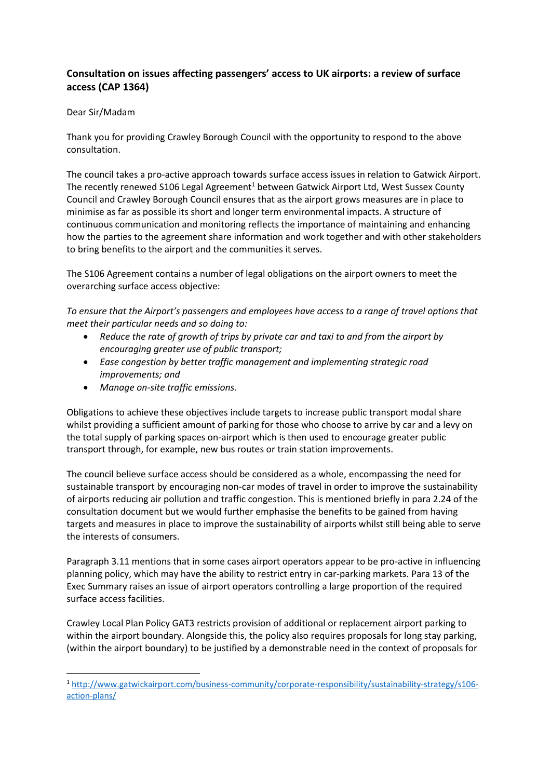## **Consultation on issues affecting passengers' access to UK airports: a review of surface access (CAP 1364)**

## Dear Sir/Madam

**.** 

Thank you for providing Crawley Borough Council with the opportunity to respond to the above consultation.

The council takes a pro-active approach towards surface access issues in relation to Gatwick Airport. The recently renewed S106 Legal Agreement<sup>1</sup> between Gatwick Airport Ltd, West Sussex County Council and Crawley Borough Council ensures that as the airport grows measures are in place to minimise as far as possible its short and longer term environmental impacts. A structure of continuous communication and monitoring reflects the importance of maintaining and enhancing how the parties to the agreement share information and work together and with other stakeholders to bring benefits to the airport and the communities it serves.

The S106 Agreement contains a number of legal obligations on the airport owners to meet the overarching surface access objective:

*To ensure that the Airport's passengers and employees have access to a range of travel options that meet their particular needs and so doing to:*

- *Reduce the rate of growth of trips by private car and taxi to and from the airport by encouraging greater use of public transport;*
- *Ease congestion by better traffic management and implementing strategic road improvements; and*
- *Manage on-site traffic emissions.*

Obligations to achieve these objectives include targets to increase public transport modal share whilst providing a sufficient amount of parking for those who choose to arrive by car and a levy on the total supply of parking spaces on-airport which is then used to encourage greater public transport through, for example, new bus routes or train station improvements.

The council believe surface access should be considered as a whole, encompassing the need for sustainable transport by encouraging non-car modes of travel in order to improve the sustainability of airports reducing air pollution and traffic congestion. This is mentioned briefly in para 2.24 of the consultation document but we would further emphasise the benefits to be gained from having targets and measures in place to improve the sustainability of airports whilst still being able to serve the interests of consumers.

Paragraph 3.11 mentions that in some cases airport operators appear to be pro-active in influencing planning policy, which may have the ability to restrict entry in car-parking markets. Para 13 of the Exec Summary raises an issue of airport operators controlling a large proportion of the required surface access facilities.

Crawley Local Plan Policy GAT3 restricts provision of additional or replacement airport parking to within the airport boundary. Alongside this, the policy also requires proposals for long stay parking, (within the airport boundary) to be justified by a demonstrable need in the context of proposals for

<sup>1</sup> [http://www.gatwickairport.com/business-community/corporate-responsibility/sustainability-strategy/s106](http://www.gatwickairport.com/business-community/corporate-responsibility/sustainability-strategy/s106-action-plans/) [action-plans/](http://www.gatwickairport.com/business-community/corporate-responsibility/sustainability-strategy/s106-action-plans/)